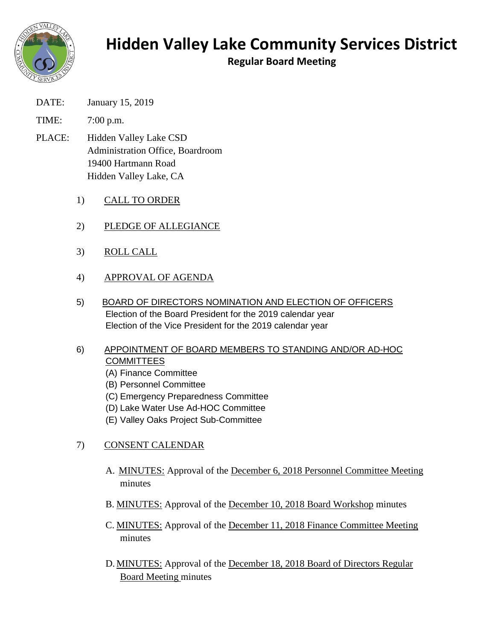

## **Hidden Valley Lake Community Services District**

**Regular Board Meeting**

- DATE: January 15, 2019
- TIME: 7:00 p.m.
- PLACE: Hidden Valley Lake CSD Administration Office, Boardroom 19400 Hartmann Road Hidden Valley Lake, CA
	- 1) CALL TO ORDER
	- 2) PLEDGE OF ALLEGIANCE
	- 3) ROLL CALL
	- 4) APPROVAL OF AGENDA
	- 5) BOARD OF DIRECTORS NOMINATION AND ELECTION OF OFFICERS Election of the Board President for the 2019 calendar year Election of the Vice President for the 2019 calendar year
	- 6) APPOINTMENT OF BOARD MEMBERS TO STANDING AND/OR AD-HOC **COMMITTEES** 
		- (A) Finance Committee
		- (B) Personnel Committee
		- (C) Emergency Preparedness Committee
		- (D) Lake Water Use Ad-HOC Committee
		- (E) Valley Oaks Project Sub-Committee
	- 7) CONSENT CALENDAR
		- A. MINUTES: Approval of the December 6, 2018 Personnel Committee Meeting minutes
		- B. MINUTES: Approval of the December 10, 2018 Board Workshop minutes
		- C. MINUTES: Approval of the December 11, 2018 Finance Committee Meeting minutes
		- D. MINUTES: Approval of the December 18, 2018 Board of Directors Regular Board Meeting minutes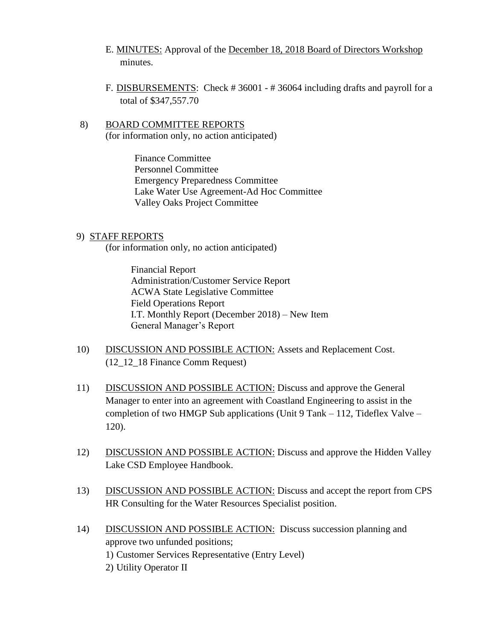- E. MINUTES: Approval of the December 18, 2018 Board of Directors Workshop minutes.
- F. DISBURSEMENTS: Check # 36001 # 36064 including drafts and payroll for a total of \$347,557.70
- 8) BOARD COMMITTEE REPORTS (for information only, no action anticipated)

Finance Committee Personnel Committee Emergency Preparedness Committee Lake Water Use Agreement-Ad Hoc Committee Valley Oaks Project Committee

## 9) STAFF REPORTS

(for information only, no action anticipated)

Financial Report Administration/Customer Service Report ACWA State Legislative Committee Field Operations Report I.T. Monthly Report (December 2018) – New Item General Manager's Report

- 10) DISCUSSION AND POSSIBLE ACTION: Assets and Replacement Cost. (12\_12\_18 Finance Comm Request)
- 11) DISCUSSION AND POSSIBLE ACTION: Discuss and approve the General Manager to enter into an agreement with Coastland Engineering to assist in the completion of two HMGP Sub applications (Unit 9 Tank – 112, Tideflex Valve – 120).
- 12) DISCUSSION AND POSSIBLE ACTION: Discuss and approve the Hidden Valley Lake CSD Employee Handbook.
- 13) DISCUSSION AND POSSIBLE ACTION: Discuss and accept the report from CPS HR Consulting for the Water Resources Specialist position.
- 14) DISCUSSION AND POSSIBLE ACTION: Discuss succession planning and approve two unfunded positions; 1) Customer Services Representative (Entry Level) 2) Utility Operator II